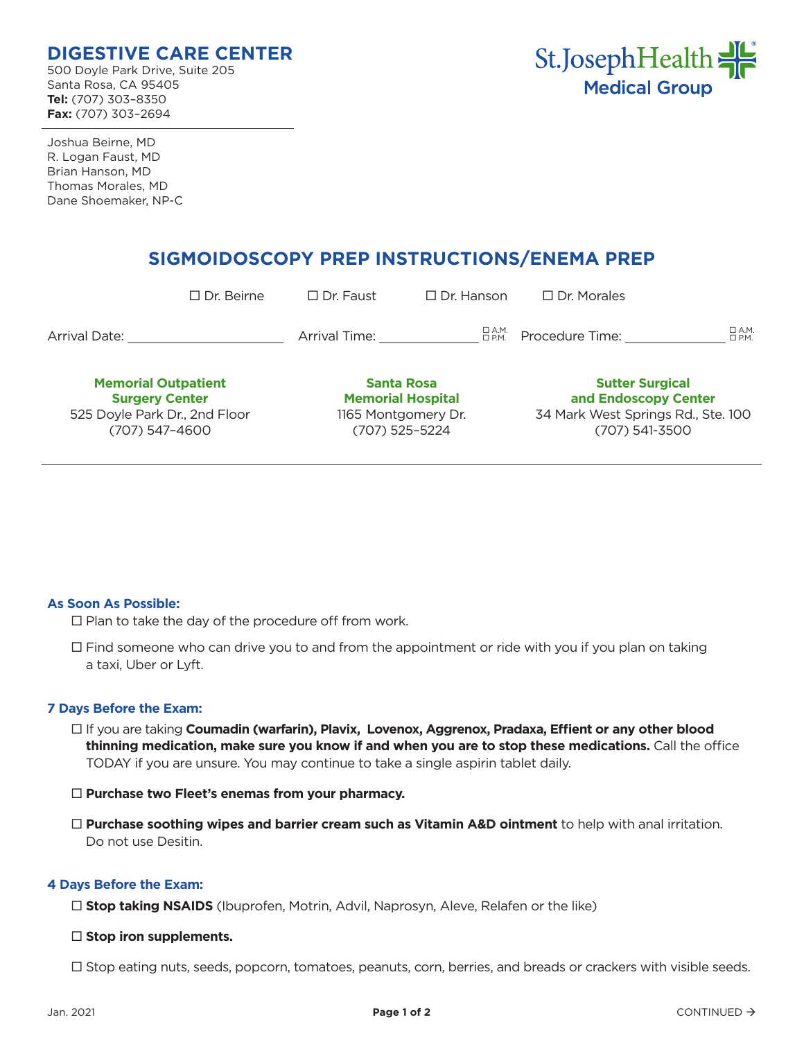## **DIGESTIVE CARE CENTER**

500 Doyle Park Drive, Suite 205 Santa Rosa, CA 95405 **Tel:** (707) 303–8350 **Fax:** (707) 303–2694



Joshua Beirne, MD R. Logan Faust, MD Brian Hanson, MD Thomas Morales, MD Dane Shoemaker, NP-C

# **SIGMOIDOSCOPY PREP INSTRUCTIONS/ENEMA PREP**

|                                                                                                        | $\Box$ Dr. Beirne | $\Box$ Dr. Faust                                                                       | $\Box$ Dr. Hanson | $\Box$ Dr. Morales                                                                                     |                               |
|--------------------------------------------------------------------------------------------------------|-------------------|----------------------------------------------------------------------------------------|-------------------|--------------------------------------------------------------------------------------------------------|-------------------------------|
| Arrival Date:                                                                                          |                   | Arrival Time:                                                                          | 口 A.M.<br>口 P.M.  | Procedure Time:                                                                                        | $\Box$ A.M.<br>$\square$ P.M. |
| <b>Memorial Outpatient</b><br><b>Surgery Center</b><br>525 Doyle Park Dr., 2nd Floor<br>(707) 547-4600 |                   | <b>Santa Rosa</b><br><b>Memorial Hospital</b><br>1165 Montgomery Dr.<br>(707) 525-5224 |                   | <b>Sutter Surgical</b><br>and Endoscopy Center<br>34 Mark West Springs Rd., Ste. 100<br>(707) 541-3500 |                               |

### **As Soon As Possible:**

 $\square$  Plan to take the day of the procedure off from work.

 $\Box$  Find someone who can drive you to and from the appointment or ride with you if you plan on taking a taxi, Uber or Lyft.

### **7 Days Before the Exam:**

- If you are taking **Coumadin (warfarin), Plavix, Lovenox, Aggrenox, Pradaxa, Effient or any other blood thinning medication, make sure you know if and when you are to stop these medications.** Call the office TODAY if you are unsure. You may continue to take a single aspirin tablet daily.
- **Purchase two Fleet's enemas from your pharmacy.**
- **Purchase soothing wipes and barrier cream such as Vitamin A&D ointment** to help with anal irritation. Do not use Desitin.

### **4 Days Before the Exam:**

□ **Stop taking NSAIDS** (Ibuprofen, Motrin, Advil, Naprosyn, Aleve, Relafen or the like)

#### □ Stop iron supplements.

 $\Box$  Stop eating nuts, seeds, popcorn, tomatoes, peanuts, corn, berries, and breads or crackers with visible seeds.